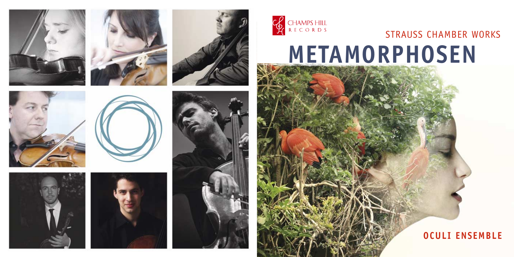

















# **METAMORPHOSEN** STRAUSS CHAMBER WORKS

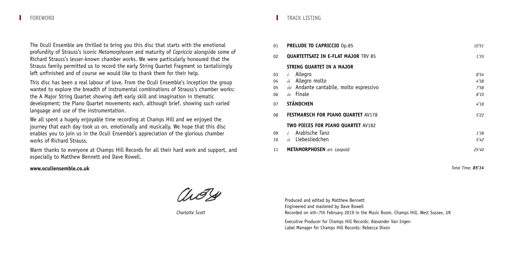The Oculi Ensemble are thrilled to bring you this disc that starts with the emotional profundity of Strauss's iconic *Metamorphosen* and maturity of *Capriccio* alongside some of Richard Strauss's lesser-known chamber works. We were particularly honoured that the Strauss family permitted us to record the early String Quartet Fragment so tantalisingly left unfinished and of course we would like to thank them for their help.

This disc has been a real labour of love. From the Oculi Ensemble's inception the group wanted to explore the breadth of instrumental combinations of Strauss's chamber works: the A Major String Quartet showing deft early skill and imagination in thematic development; the Piano Quartet movements each, although brief, showing such varied language and use of the instrumentation.

We all spent a hugely enjoyable time recording at Champs Hill and we enjoyed the journey that each day took us on, emotionally and musically. We hope that this disc enables you to join us in the Oculi Ensemble's appreciation of the glorious chamber works of Richard Strauss.

Warm thanks to everyone at Champs Hill Records for all their hard work and support, and especially to Matthew Bennett and Dave Rowell.

## **www.oculiensemble.co.uk**

*Charlotte Scott*

## TRACK LISTING

| 01 | <b>PRELUDE TO CAPRICCIO Op.85</b>          | 10'51 |
|----|--------------------------------------------|-------|
| 02 | <b>QUARTETTSATZ IN E-FLAT MAJOR TRV 85</b> | 1'35  |
|    | STRING QUARTET IN A MAJOR                  |       |
| 03 | Allegro<br>i                               | 8'54  |
| 04 | Allegro molto<br>ii                        | 4'58  |
| 05 | iii Andante cantabile, molto espressivo    | 7'58  |
| 06 | iv Finale                                  | 8'10  |
| 07 | <b>STÄNDCHEN</b>                           | 4'18  |
| 08 | <b>FESTMARSCH FOR PIANO QUARTET AV178</b>  | 5'22  |
|    | <b>TWO PIECES FOR PIANO QUARTET AV182</b>  |       |
| 09 | Arabische Tanz<br>$\frac{i}{2}$            | 1'38  |
| 10 | Liebesliedchen<br>ii                       | 5'42  |
| 11 | <b>METAMORPHOSEN</b> arr. Leopold          | 25'40 |

*Total Time: 85'14*

Produced and edited by Matthew Bennett Engineered and mastered by Dave Rowell Recorded on 4th–7th February 2019 in the Music Room, Champs Hill, West Sussex, UK

Executive Producer for Champs Hill Records: Alexander Van Ingen Label Manager for Champs Hill Records: Rebecca Dixon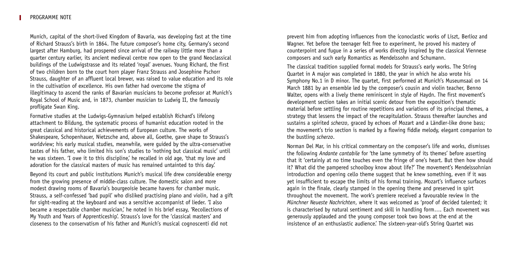Munich, capital of the short-lived Kingdom of Bavaria, was developing fast at the time of Richard Strauss's birth in 1864. The future composer's home city, Germany's second largest after Hamburg, had prospered since arrival of the railway little more than a quarter century earlier, its ancient medieval centre now open to the grand Neoclassical buildings of the Ludwigstrasse and its related 'royal' avenues. Young Richard, the first of two children born to the court horn player Franz Strauss and Josephine Pschorr Strauss, daughter of an affluent local brewer, was raised to value education and its role in the cultivation of excellence. His own father had overcome the stigma of illegitimacy to ascend the ranks of Bavarian musicians to become professor at Munich's Royal School of Music and, in 1873, chamber musician to Ludwig II, the famously profligate Swan King.

Formative studies at the Ludwigs-Gymnasium helped establish Richard's lifelong attachment to Bildung, the systematic process of humanist education rooted in the great classical and historical achievements of European culture. The works of Shakespeare, Schopenhauer, Nietzsche and, above all, Goethe, gave shape to Strauss's worldview; his early musical studies, meanwhile, were guided by the ultra-conservative tastes of his father, who limited his son's studies to 'nothing but classical music' until he was sixteen. 'I owe it to this discipline,' he recalled in old age, 'that my love and adoration for the classical masters of music has remained untainted to this day.'

Beyond its court and public institutions Munich's musical life drew considerable energy from the growing presence of middle-class culture. The domestic salon and more modest drawing rooms of Bavaria's bourgeoisie became havens for chamber music. Strauss, a self-confessed 'bad pupil' who disliked practising piano and violin, had a gift for sight-reading at the keyboard and was a sensitive accompanist of lieder. 'I also became a respectable chamber musician,' he noted in his brief essay, 'Recollections of My Youth and Years of Apprenticeship'. Strauss's love for the 'classical masters' and closeness to the conservatism of his father and Munich's musical cognoscenti did not

prevent him from adopting influences from the iconoclastic works of Liszt, Berlioz and Wagner. Yet before the teenager felt free to experiment, he proved his mastery of counterpoint and fugue in a series of works directly inspired by the classical Viennese composers and such early Romantics as Mendelssohn and Schumann.

The classical tradition supplied formal models for Strauss's early works. The String Quartet in A major was completed in 1880, the year in which he also wrote his Symphony No.1 in D minor. The quartet, first performed at Munich's Museumsaal on 14 March 1881 by an ensemble led by the composer's cousin and violin teacher, Benno Walter, opens with a lively theme reminiscent in style of Haydn. The first movement's development section takes an initial scenic detour from the exposition's thematic material before settling for routine repetitions and variations of its principal themes, a strategy that lessens the impact of the recapitulation. Strauss thereafter launches and sustains a spirited *scherzo*, graced by echoes of Mozart and a Ländler-like drone bass; the movement's trio section is marked by a flowing fiddle melody, elegant companion to the bustling *scherzo*.

Norman Del Mar, in his critical commentary on the composer's life and works, dismisses the following *Andante cantabile* for 'the lame symmetry of its themes' before asserting that it 'certainly at no time touches even the fringe of one's heart. But then how should it? What did the pampered schoolboy know about life?' The movement's Mendelssohnian introduction and opening cello theme suggest that he knew something, even if it was yet insufficient to escape the limits of his formal training. Mozart's influence surfaces again in the finale, clearly stamped in the opening theme and preserved in spirt throughout the movement. The work's premiere received a favourable review in the *Münchner Neueste Nachrichten*, where it was welcomed as 'proof of decided talented; it is characterised by natural sentiment and skill in handling form…. Each movement was generously applauded and the young composer took two bows at the end at the insistence of an enthusiastic audience.' The sixteen-year-old's String Quartet was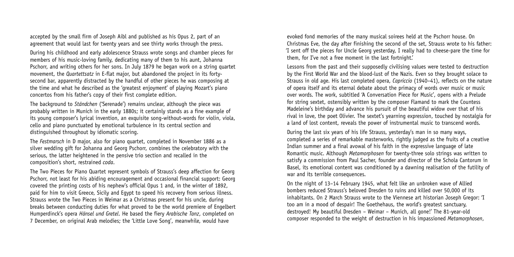accepted by the small firm of Joseph Aibl and published as his Opus 2, part of an agreement that would last for twenty years and see thirty works through the press.

During his childhood and early adolescence Strauss wrote songs and chamber pieces for members of his music-loving family, dedicating many of them to his aunt, Johanna Pschorr, and writing others for her sons. In July 1879 he began work on a string quartet movement, the *Quartettsatz* in E-flat major, but abandoned the project in its fortysecond bar, apparently distracted by the handful of other pieces he was composing at the time and what he described as the 'greatest enjoyment' of playing Mozart's piano concertos from his father's copy of their first complete edition.

The background to *Ständchen* ('Serenade') remains unclear, although the piece was probably written in Munich in the early 1880s; it certainly stands as a fine example of its young composer's lyrical invention, an exquisite song-without-words for violin, viola, cello and piano punctuated by emotional turbulence in its central section and distinguished throughout by idiomatic scoring.

The *Festmarsch* in D major, also for piano quartet, completed in November 1886 as a silver wedding gift for Johanna and Georg Pschorr, combines the celebratory with the serious, the latter heightened in the pensive trio section and recalled in the composition's short, restrained *coda*.

The Two Pieces for Piano Quartet represent symbols of Strauss's deep affection for Georg Pschorr, not least for his abiding encouragement and occasional financial support: Georg covered the printing costs of his nephew's official Opus 1 and, in the winter of 1892, paid for him to visit Greece, Sicily and Egypt to speed his recovery from serious illness. Strauss wrote the Two Pieces in Weimar as a Christmas present for his uncle, during breaks between conducting duties for what proved to be the world premiere of Engelbert Humperdinck's opera *Hänsel und Gretel*. He based the fiery *Arabische Tanz*, completed on 7 December, on original Arab melodies; the 'Little Love Song', meanwhile, would have

evoked fond memories of the many musical soirees held at the Pschorr house. On Christmas Eve, the day after finishing the second of the set, Strauss wrote to his father: 'I sent off the pieces for Uncle Georg yesterday, I really had to cheese-pare the time for them, for I've not a free moment in the last fortnight.'

Lessons from the past and their supposedly civilising values were tested to destruction by the First World War and the blood-lust of the Nazis. Even so they brought solace to Strauss in old age. His last completed opera, *Capriccio* (1940–41), reflects on the nature of opera itself and its eternal debate about the primacy of words over music or music over words. The work, subtitled 'A Conversation Piece for Music', opens with a Prelude for string sextet, ostensibly written by the composer Flamand to mark the Countess Madeleine's birthday and advance his pursuit of the beautiful widow over that of his rival in love, the poet Olivier. The sextet's yearning expression, touched by nostalgia for a land of lost content, reveals the power of instrumental music to transcend words.

During the last six years of his life Strauss, yesterday's man in so many ways, completed a series of remarkable masterworks, rightly judged as the fruits of a creative Indian summer and a final avowal of his faith in the expressive language of late Romantic music. Although *Metamorphosen* for twenty-three solo strings was written to satisfy a commission from Paul Sacher, founder and director of the Schola Cantorum in Basel, its emotional content was conditioned by a dawning realisation of the futility of war and its terrible consequences.

On the night of 13–14 February 1945, what felt like an unbroken wave of Allied bombers reduced Strauss's beloved Dresden to ruins and killed over 50,000 of its inhabitants. On 2 March Strauss wrote to the Viennese art historian Joseph Gregor: 'I too am in a mood of despair! The Goethehaus, the world's greatest sanctuary, destroyed! My beautiful Dresden – Weimar – Munich, all gone!' The 81-year-old composer responded to the weight of destruction in his impassioned *Metamorphosen*,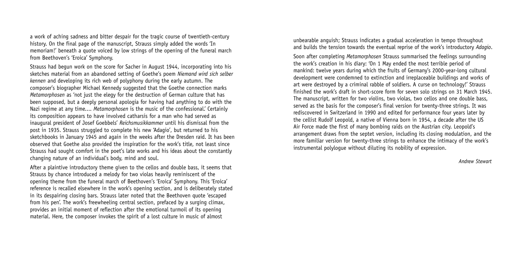a work of aching sadness and bitter despair for the tragic course of twentieth-century history. On the final page of the manuscript, Strauss simply added the words 'In memoriam!' beneath a quote voiced by low strings of the opening of the funeral march from Beethoven's 'Eroica' Symphony.

Strauss had begun work on the score for Sacher in August 1944, incorporating into his sketches material from an abandoned setting of Goethe's poem *Niemand wird sich selber kennen* and developing its rich web of polyphony during the early autumn. The composer's biographer Michael Kennedy suggested that the Goethe connection marks *Metamorphosen* as 'not just the elegy for the destruction of German culture that has been supposed, but a deeply personal apologia for having had anything to do with the Nazi regime at any time.... *Metamorphosen* is the music of the confessional.' Certainly its composition appears to have involved catharsis for a man who had served as inaugural president of Josef Goebbels' *Reichsmusikkammer* until his dismissal from the post in 1935. Strauss struggled to complete his new 'Adagio', but returned to his sketchbooks in January 1945 and again in the weeks after the Dresden raid. It has been observed that Goethe also provided the inspiration for the work's title, not least since Strauss had sought comfort in the poet's late works and his ideas about the constantly changing nature of an individual's body, mind and soul.

After a plaintive introductory theme given to the cellos and double bass, it seems that Strauss by chance introduced a melody for two violas heavily reminiscent of the opening theme from the funeral march of Beethoven's 'Eroica' Symphony. This 'Eroica' reference is recalled elsewhere in the work's opening section, and is deliberately stated in its despairing closing bars. Strauss later noted that the Beethoven quote 'escaped from his pen'. The work's freewheeling central section, prefaced by a surging climax, provides an initial moment of reflection after the emotional turmoil of its opening material. Here, the composer invokes the spirit of a lost culture in music of almost

unbearable anguish; Strauss indicates a gradual acceleration in tempo throughout and builds the tension towards the eventual reprise of the work's introductory *Adagio*.

Soon after completing *Metamorphosen* Strauss summarised the feelings surrounding the work's creation in his diary: 'On 1 May ended the most terrible period of mankind: twelve years during which the fruits of Germany's 2000-year-long cultural development were condemned to extinction and irreplaceable buildings and works of art were destroyed by a criminal rabble of soldiers. A curse on technology!' Strauss finished the work's draft in short-score form for seven solo strings on 31 March 1945. The manuscript, written for two violins, two violas, two cellos and one double bass, served as the basis for the composer's final version for twenty-three strings. It was rediscovered in Switzerland in 1990 and edited for performance four years later by the cellist Rudolf Leopold, a native of Vienna born in 1954, a decade after the US Air Force made the first of many bombing raids on the Austrian city. Leopold's arrangement draws from the septet version, including its closing modulation, and the more familiar version for twenty-three strings to enhance the intimacy of the work's instrumental polylogue without diluting its nobility of expression.

*Andrew Stewart*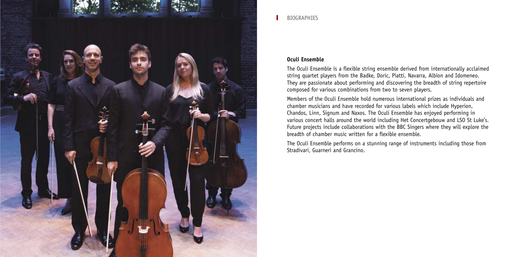

## **Oculi Ensemble**

The Oculi Ensemble is a flexible string ensemble derived from internationally acclaimed string quartet players from the Badke, Doric, Piatti, Navarra, Albion and Idomeneo. They are passionate about performing and discovering the breadth of string repertoire composed for various combinations from two to seven players.

Members of the Oculi Ensemble hold numerous international prizes as individuals and chamber musicians and have recorded for various labels which include Hyperion, Chandos, Linn, Signum and Naxos. The Oculi Ensemble has enjoyed performing in various concert halls around the world including Het Concertgebouw and LSO St Luke's. Future projects include collaborations with the BBC Singers where they will explore the breadth of chamber music written for a flexible ensemble.

The Oculi Ensemble performs on a stunning range of instruments including those from Stradivari, Guarneri and Grancino.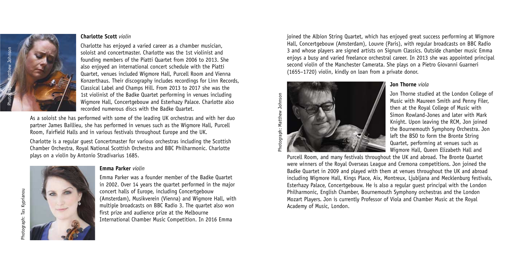

#### **Charlotte Scott** *violin*

Charlotte has enjoyed a varied career as a chamber musician, soloist and concertmaster. Charlotte was the 1st violinist and founding members of the Piatti Quartet from 2006 to 2013. She also enjoyed an international concert schedule with the Piatti Quartet, venues included Wigmore Hall, Purcell Room and Vienna Konzerthaus. Their discography includes recordings for Linn Records, Classical Label and Champs Hill. From 2013 to 2017 she was the 1st violinist of the Badke Quartet performing in venues including Wigmore Hall, Concertgebouw and Esterhazy Palace. Charlotte also recorded numerous discs with the Badke Quartet.

As a soloist she has performed with some of the leading UK orchestras and with her duo partner James Baillieu, she has performed in venues such as the Wigmore Hall, Purcell Room, Fairfield Halls and in various festivals throughout Europe and the UK.

Charlotte is a regular guest Concertmaster for various orchestras including the Scottish Chamber Orchestra, Royal National Scottish Orchestra and BBC Philharmonic. Charlotte plays on a violin by Antonio Stradivarius 1685.



## **Emma Parker** *violin*

Emma Parker was a founder member of the Badke Quartet in 2002. Over 14 years the quartet performed in the major concert halls of Europe, including Concertgebouw (Amsterdam), Musikverein (Vienna) and Wigmore Hall, with multiple broadcasts on BBC Radio 3. The quartet also won first prize and audience prize at the Melbourne International Chamber Music Competition. In 2016 Emma

joined the Albion String Quartet, which has enjoyed great success performing at Wigmore Hall, Concertgebouw (Amsterdam), Louvre (Paris), with regular broadcasts on BBC Radio 3 and whose players are signed artists on Signum Classics. Outside chamber music Emma enjoys a busy and varied freelance orchestral career. In 2013 she was appointed principal second violin of the Manchester Camerata. She plays on a Pietro Giovanni Guarneri (1655–1720) violin, kindly on loan from a private donor.



## **Jon Thorne** *viola*

Jon Thorne studied at the London College of Music with Maureen Smith and Penny Filer, then at the Royal College of Music with Simon Rowland-Jones and later with Mark Knight. Upon leaving the RCM, Jon joined the Bournemouth Symphony Orchestra. Jon left the BSO to form the Bronte String Quartet, performing at venues such as Wigmore Hall, Queen Elizabeth Hall and

Purcell Room, and many festivals throughout the UK and abroad. The Bronte Quartet were winners of the Royal Overseas League and Cremona competitions. Jon joined the Badke Quartet in 2009 and played with them at venues throughout the UK and abroad including Wigmore Hall, Kings Place, Aix, Montreux, Ljubljana and Mecklenburg festivals, Esterhazy Palace, Concertgebouw. He is also a regular guest principal with the London Philharmonic, English Chamber, Bournemouth Symphony orchestras and the London Mozart Players. Jon is currently Professor of Viola and Chamber Music at the Royal Academy of Music, London.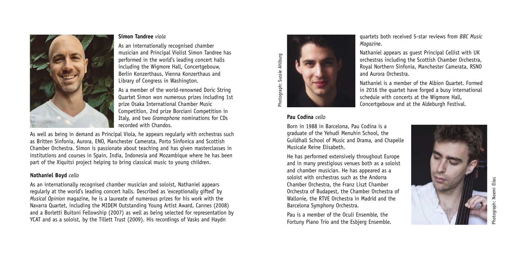

## **Simon Tandree** *viola*

As an internationally recognised chamber musician and Principal Violist Simon Tandree has performed in the world's leading concert halls including the Wigmore Hall, Concertgebouw, Berlin Konzerthaus, Vienna Konzerthaus and Library of Congress in Washington.

As a member of the world-renowned Doric String Quartet Simon won numerous prizes including 1st prize Osaka International Chamber Music Competition, 2nd prize Borciani Competition in Italy, and two *Gramophone* nominations for CDs recorded with Chandos.

As well as being in demand as Principal Viola, he appears regularly with orchestras such as Britten Sinfonia, Aurora, ENO, Manchester Camerata, Porto Sinfonica and Scottish Chamber Orchestra. Simon is passionate about teaching and has given masterclasses in institutions and courses in Spain, India, Indonesia and Mozambique where he has been part of the Xiquitsi project helping to bring classical music to young children.

## **Nathaniel Boyd** *cello*

As an internationally recognised chamber musician and soloist, Nathaniel appears regularly at the world's leading concert halls. Described as 'exceptionally gifted' by *Musical Opinion* magazine, he is a laureate of numerous prizes for his work with the Navarra Quartet, including the MIDEM Outstanding Young Artist Award, Cannes (2008) and a Borletti Buitoni Fellowship (2007) as well as being selected for representation by YCAT and as a soloist, by the Tillett Trust (2009). His recordings of Vasks and Haydn



quartets both received 5-star reviews from *BBC Music Magazine*.

Nathaniel appears as guest Principal Cellist with UK orchestras including the Scottish Chamber Orchestra, Royal Northern Sinfonia, Manchester Camerata, RSNO and Aurora Orchestra.

Nathaniel is a member of the Albion Quartet. Formed in 2016 the quartet have forged a busy international schedule with concerts at the Wigmore Hall, Concertgebouw and at the Aldeburgh Festival.

## **Pau Codina** *cello*

Born in 1988 in Barcelona, Pau Codina is a graduate of the Yehudi Menuhin School, the Guildhall School of Music and Drama, and Chapelle Musicale Reine Elisabeth.

He has performed extensively throughout Europe and in many prestigious venues both as a soloist and chamber musician. He has appeared as a soloist with orchestras such as the Andorra Chamber Orchestra, the Franz Liszt Chamber Orchestra of Budapest, the Chamber Orchestra of Wallonie, the RTVE Orchestra in Madrid and the Barcelona Symphony Orchestra.

Pau is a member of the Oculi Ensemble, the Fortuny Piano Trio and the Esbjerg Ensemble.

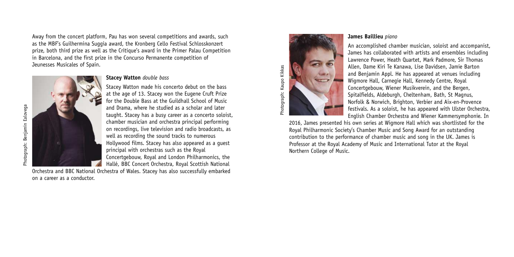Away from the concert platform, Pau has won several competitions and awards, such as the MBF's Guilhermina Suggia award, the Kronberg Cello Festival Schlosskonzert prize, both third prize as well as the Critique's award in the Primer Palau Competition in Barcelona, and the first prize in the Concurso Permanente competition of Jeunesses Musicales of Spain.



#### **Stacey Watton** *double bass*

Stacey Watton made his concerto debut on the bass at the age of 13. Stacey won the Eugene Cruft Prize for the Double Bass at the Guildhall School of Music and Drama, where he studied as a scholar and later taught. Stacey has a busy career as a concerto soloist, chamber musician and orchestra principal performing on recordings, live television and radio broadcasts, as well as recording the sound tracks to numerous Hollywood films. Stacey has also appeared as a guest principal with orchestras such as the Royal Concertgebouw, Royal and London Philharmonics, the Hallé, BBC Concert Orchestra, Royal Scottish National

Orchestra and BBC National Orchestra of Wales. Stacey has also successfully embarked on a career as a conductor.



#### **James Baillieu** *piano*

An accomplished chamber musician, soloist and accompanist, James has collaborated with artists and ensembles including Lawrence Power, Heath Quartet, Mark Padmore, Sir Thomas Allen, Dame Kiri Te Kanawa, Lise Davidsen, Jamie Barton and Benjamin Appl. He has appeared at venues including Wigmore Hall, Carnegie Hall, Kennedy Centre, Royal Concertgebouw, Wiener Musikverein, and the Bergen, Spitalfields, Aldeburgh, Cheltenham, Bath, St Magnus, Norfolk & Norwich, Brighton, Verbier and Aix-en-Provence festivals. As a soloist, he has appeared with Ulster Orchestra, English Chamber Orchestra and Wiener Kammersymphonie. In

2016, James presented his own series at Wigmore Hall which was shortlisted for the Royal Philharmonic Society's Chamber Music and Song Award for an outstanding contribution to the performance of chamber music and song in the UK. James is Professor at the Royal Academy of Music and International Tutor at the Royal Northern College of Music.